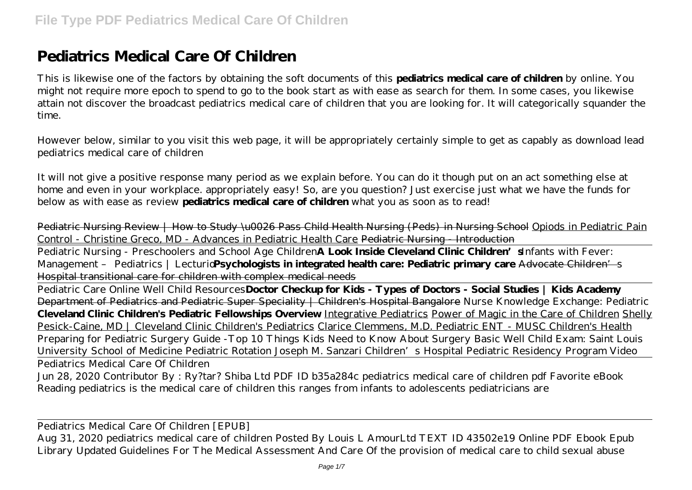# **Pediatrics Medical Care Of Children**

This is likewise one of the factors by obtaining the soft documents of this **pediatrics medical care of children** by online. You might not require more epoch to spend to go to the book start as with ease as search for them. In some cases, you likewise attain not discover the broadcast pediatrics medical care of children that you are looking for. It will categorically squander the time.

However below, similar to you visit this web page, it will be appropriately certainly simple to get as capably as download lead pediatrics medical care of children

It will not give a positive response many period as we explain before. You can do it though put on an act something else at home and even in your workplace. appropriately easy! So, are you question? Just exercise just what we have the funds for below as with ease as review **pediatrics medical care of children** what you as soon as to read!

Pediatric Nursing Review | How to Study \u0026 Pass Child Health Nursing (Peds) in Nursing School Opiods in Pediatric Pain Control - Christine Greco, MD - Advances in Pediatric Health Care Pediatric Nursing - Introduction

Pediatric Nursing - Preschoolers and School Age Children**A Look Inside Cleveland Clinic Children's***Infants with Fever: Management - Pediatrics | Lecturid* **Psychologists in integrated health care: Pediatric primary care** Advocate Children's Hospital transitional care for children with complex medical needs

Pediatric Care Online Well Child Resources**Doctor Checkup for Kids - Types of Doctors - Social Studies | Kids Academy** Department of Pediatrics and Pediatric Super Speciality | Children's Hospital Bangalore Nurse Knowledge Exchange: Pediatric **Cleveland Clinic Children's Pediatric Fellowships Overview** Integrative Pediatrics Power of Magic in the Care of Children Shelly Pesick-Caine, MD | Cleveland Clinic Children's Pediatrics Clarice Clemmens, M.D. Pediatric ENT - MUSC Children's Health *Preparing for Pediatric Surgery Guide -Top 10 Things Kids Need to Know About Surgery* Basic Well Child Exam: Saint Louis University School of Medicine Pediatric Rotation Joseph M. Sanzari Children's Hospital Pediatric Residency Program Video

Pediatrics Medical Care Of Children

Jun 28, 2020 Contributor By : Ry?tar? Shiba Ltd PDF ID b35a284c pediatrics medical care of children pdf Favorite eBook Reading pediatrics is the medical care of children this ranges from infants to adolescents pediatricians are

Pediatrics Medical Care Of Children [EPUB]

Aug 31, 2020 pediatrics medical care of children Posted By Louis L AmourLtd TEXT ID 43502e19 Online PDF Ebook Epub Library Updated Guidelines For The Medical Assessment And Care Of the provision of medical care to child sexual abuse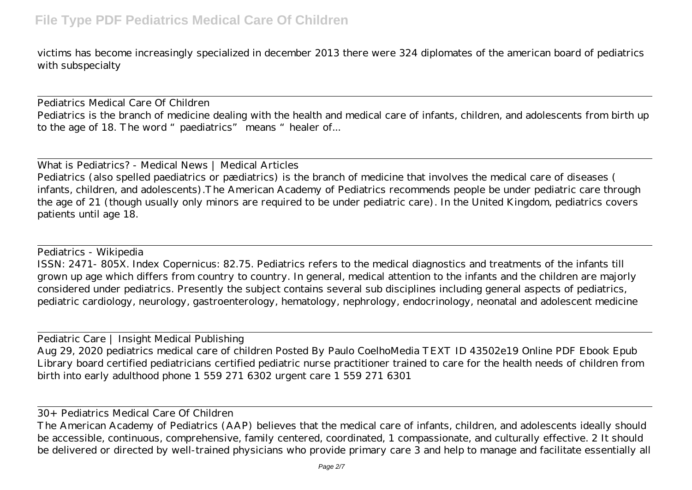victims has become increasingly specialized in december 2013 there were 324 diplomates of the american board of pediatrics with subspecialty

Pediatrics Medical Care Of Children Pediatrics is the branch of medicine dealing with the health and medical care of infants, children, and adolescents from birth up to the age of 18. The word "paediatrics" means "healer of...

What is Pediatrics? - Medical News | Medical Articles

Pediatrics (also spelled paediatrics or pædiatrics) is the branch of medicine that involves the medical care of diseases ( infants, children, and adolescents).The American Academy of Pediatrics recommends people be under pediatric care through the age of 21 (though usually only minors are required to be under pediatric care). In the United Kingdom, pediatrics covers patients until age 18.

#### Pediatrics - Wikipedia

ISSN: 2471- 805X. Index Copernicus: 82.75. Pediatrics refers to the medical diagnostics and treatments of the infants till grown up age which differs from country to country. In general, medical attention to the infants and the children are majorly considered under pediatrics. Presently the subject contains several sub disciplines including general aspects of pediatrics, pediatric cardiology, neurology, gastroenterology, hematology, nephrology, endocrinology, neonatal and adolescent medicine

Pediatric Care | Insight Medical Publishing

Aug 29, 2020 pediatrics medical care of children Posted By Paulo CoelhoMedia TEXT ID 43502e19 Online PDF Ebook Epub Library board certified pediatricians certified pediatric nurse practitioner trained to care for the health needs of children from birth into early adulthood phone 1 559 271 6302 urgent care 1 559 271 6301

#### 30+ Pediatrics Medical Care Of Children

The American Academy of Pediatrics (AAP) believes that the medical care of infants, children, and adolescents ideally should be accessible, continuous, comprehensive, family centered, coordinated, 1 compassionate, and culturally effective. 2 It should be delivered or directed by well-trained physicians who provide primary care 3 and help to manage and facilitate essentially all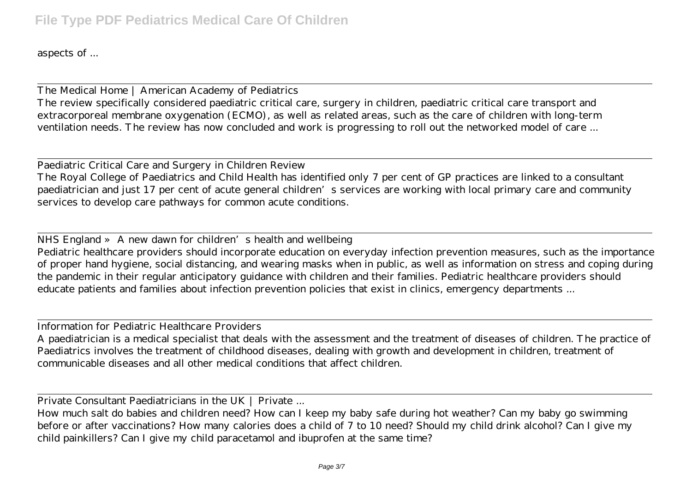aspects of ...

The Medical Home | American Academy of Pediatrics The review specifically considered paediatric critical care, surgery in children, paediatric critical care transport and extracorporeal membrane oxygenation (ECMO), as well as related areas, such as the care of children with long-term ventilation needs. The review has now concluded and work is progressing to roll out the networked model of care ...

Paediatric Critical Care and Surgery in Children Review The Royal College of Paediatrics and Child Health has identified only 7 per cent of GP practices are linked to a consultant paediatrician and just 17 per cent of acute general children's services are working with local primary care and community services to develop care pathways for common acute conditions.

NHS England » A new dawn for children's health and wellbeing

Pediatric healthcare providers should incorporate education on everyday infection prevention measures, such as the importance of proper hand hygiene, social distancing, and wearing masks when in public, as well as information on stress and coping during the pandemic in their regular anticipatory guidance with children and their families. Pediatric healthcare providers should educate patients and families about infection prevention policies that exist in clinics, emergency departments ...

Information for Pediatric Healthcare Providers

A paediatrician is a medical specialist that deals with the assessment and the treatment of diseases of children. The practice of Paediatrics involves the treatment of childhood diseases, dealing with growth and development in children, treatment of communicable diseases and all other medical conditions that affect children.

Private Consultant Paediatricians in the UK | Private ...

How much salt do babies and children need? How can I keep my baby safe during hot weather? Can my baby go swimming before or after vaccinations? How many calories does a child of 7 to 10 need? Should my child drink alcohol? Can I give my child painkillers? Can I give my child paracetamol and ibuprofen at the same time?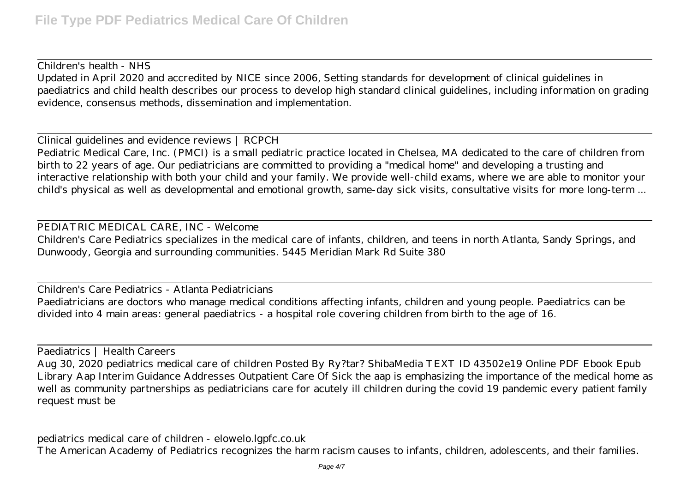### Children's health - NHS

Updated in April 2020 and accredited by NICE since 2006, Setting standards for development of clinical guidelines in paediatrics and child health describes our process to develop high standard clinical guidelines, including information on grading evidence, consensus methods, dissemination and implementation.

Clinical guidelines and evidence reviews | RCPCH

Pediatric Medical Care, Inc. (PMCI) is a small pediatric practice located in Chelsea, MA dedicated to the care of children from birth to 22 years of age. Our pediatricians are committed to providing a "medical home" and developing a trusting and interactive relationship with both your child and your family. We provide well-child exams, where we are able to monitor your child's physical as well as developmental and emotional growth, same-day sick visits, consultative visits for more long-term ...

### PEDIATRIC MEDICAL CARE, INC - Welcome

Children's Care Pediatrics specializes in the medical care of infants, children, and teens in north Atlanta, Sandy Springs, and Dunwoody, Georgia and surrounding communities. 5445 Meridian Mark Rd Suite 380

Children's Care Pediatrics - Atlanta Pediatricians Paediatricians are doctors who manage medical conditions affecting infants, children and young people. Paediatrics can be divided into 4 main areas: general paediatrics - a hospital role covering children from birth to the age of 16.

Paediatrics | Health Careers

Aug 30, 2020 pediatrics medical care of children Posted By Ry?tar? ShibaMedia TEXT ID 43502e19 Online PDF Ebook Epub Library Aap Interim Guidance Addresses Outpatient Care Of Sick the aap is emphasizing the importance of the medical home as well as community partnerships as pediatricians care for acutely ill children during the covid 19 pandemic every patient family request must be

pediatrics medical care of children - elowelo.lgpfc.co.uk The American Academy of Pediatrics recognizes the harm racism causes to infants, children, adolescents, and their families.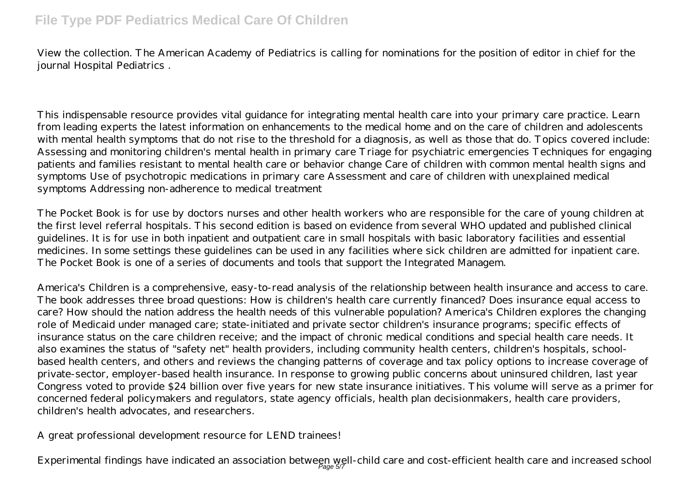# **File Type PDF Pediatrics Medical Care Of Children**

View the collection. The American Academy of Pediatrics is calling for nominations for the position of editor in chief for the journal Hospital Pediatrics .

This indispensable resource provides vital guidance for integrating mental health care into your primary care practice. Learn from leading experts the latest information on enhancements to the medical home and on the care of children and adolescents with mental health symptoms that do not rise to the threshold for a diagnosis, as well as those that do. Topics covered include: Assessing and monitoring children's mental health in primary care Triage for psychiatric emergencies Techniques for engaging patients and families resistant to mental health care or behavior change Care of children with common mental health signs and symptoms Use of psychotropic medications in primary care Assessment and care of children with unexplained medical symptoms Addressing non-adherence to medical treatment

The Pocket Book is for use by doctors nurses and other health workers who are responsible for the care of young children at the first level referral hospitals. This second edition is based on evidence from several WHO updated and published clinical guidelines. It is for use in both inpatient and outpatient care in small hospitals with basic laboratory facilities and essential medicines. In some settings these guidelines can be used in any facilities where sick children are admitted for inpatient care. The Pocket Book is one of a series of documents and tools that support the Integrated Managem.

America's Children is a comprehensive, easy-to-read analysis of the relationship between health insurance and access to care. The book addresses three broad questions: How is children's health care currently financed? Does insurance equal access to care? How should the nation address the health needs of this vulnerable population? America's Children explores the changing role of Medicaid under managed care; state-initiated and private sector children's insurance programs; specific effects of insurance status on the care children receive; and the impact of chronic medical conditions and special health care needs. It also examines the status of "safety net" health providers, including community health centers, children's hospitals, schoolbased health centers, and others and reviews the changing patterns of coverage and tax policy options to increase coverage of private-sector, employer-based health insurance. In response to growing public concerns about uninsured children, last year Congress voted to provide \$24 billion over five years for new state insurance initiatives. This volume will serve as a primer for concerned federal policymakers and regulators, state agency officials, health plan decisionmakers, health care providers, children's health advocates, and researchers.

A great professional development resource for LEND trainees!

Experimental findings have indicated an association between well-child care and cost-efficient health care and increased school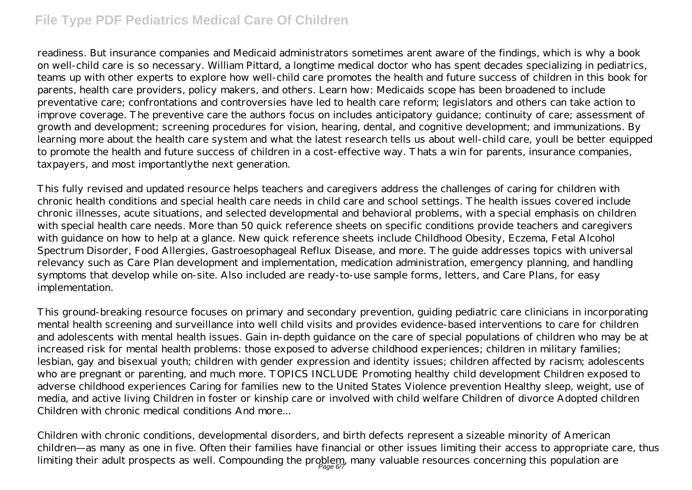## **File Type PDF Pediatrics Medical Care Of Children**

readiness. But insurance companies and Medicaid administrators sometimes arent aware of the findings, which is why a book on well-child care is so necessary. William Pittard, a longtime medical doctor who has spent decades specializing in pediatrics, teams up with other experts to explore how well-child care promotes the health and future success of children in this book for parents, health care providers, policy makers, and others. Learn how: Medicaids scope has been broadened to include preventative care; confrontations and controversies have led to health care reform; legislators and others can take action to improve coverage. The preventive care the authors focus on includes anticipatory guidance; continuity of care; assessment of growth and development; screening procedures for vision, hearing, dental, and cognitive development; and immunizations. By learning more about the health care system and what the latest research tells us about well-child care, youll be better equipped to promote the health and future success of children in a cost-effective way. Thats a win for parents, insurance companies, taxpayers, and most importantlythe next generation.

This fully revised and updated resource helps teachers and caregivers address the challenges of caring for children with chronic health conditions and special health care needs in child care and school settings. The health issues covered include chronic illnesses, acute situations, and selected developmental and behavioral problems, with a special emphasis on children with special health care needs. More than 50 quick reference sheets on specific conditions provide teachers and caregivers with guidance on how to help at a glance. New quick reference sheets include Childhood Obesity, Eczema, Fetal Alcohol Spectrum Disorder, Food Allergies, Gastroesophageal Reflux Disease, and more. The guide addresses topics with universal relevancy such as Care Plan development and implementation, medication administration, emergency planning, and handling symptoms that develop while on-site. Also included are ready-to-use sample forms, letters, and Care Plans, for easy implementation.

This ground-breaking resource focuses on primary and secondary prevention, guiding pediatric care clinicians in incorporating mental health screening and surveillance into well child visits and provides evidence-based interventions to care for children and adolescents with mental health issues. Gain in-depth guidance on the care of special populations of children who may be at increased risk for mental health problems: those exposed to adverse childhood experiences; children in military families; lesbian, gay and bisexual youth; children with gender expression and identity issues; children affected by racism; adolescents who are pregnant or parenting, and much more. TOPICS INCLUDE Promoting healthy child development Children exposed to adverse childhood experiences Caring for families new to the United States Violence prevention Healthy sleep, weight, use of media, and active living Children in foster or kinship care or involved with child welfare Children of divorce Adopted children Children with chronic medical conditions And more...

Children with chronic conditions, developmental disorders, and birth defects represent a sizeable minority of American children—as many as one in five. Often their families have financial or other issues limiting their access to appropriate care, thus limiting their adult prospects as well. Compounding the problem, many valuable resources concerning this population are